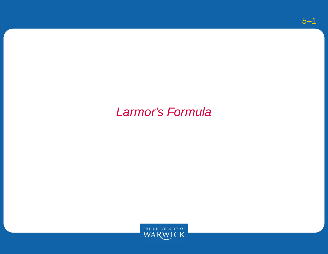

## Larmor's Formula

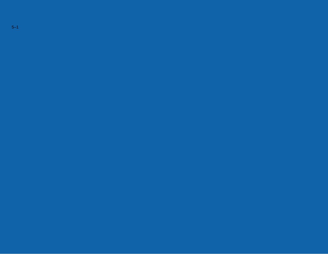$5 - 1$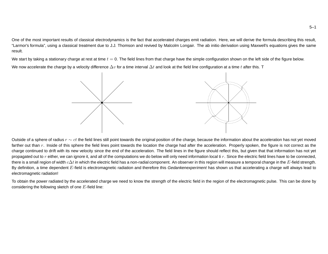One of the most important results of classical electrodynamics is the fact that accelerated charges emit radiation. Here, we will derive the formula describing this result, "Larmor's formula", using <sup>a</sup> classical treatment due to J.J. Thomson and revived by Malcolm Longair. The ab initio derivation using Maxwell's equations gives the same result.

We start by taking a stationary charge at rest at time  $t=0.$  The field lines from that charge have the simple configuration shown on the left side of the figure below. We now accelerate the charge by a velocity difference  $\Delta v$  for a time interval  $\Delta t$  and look at the field line configuration at a time  $t$  after this. T



Outside of a sphere of radius  $r\sim ct$  the field lines still point towards the original position of the charge, because the information about the acceleration has not yet moved farther out than  $r$ . Inside of this sphere the field lines point towards the location the charge had after the acceleration. Properly spoken, the figure is not correct as the charge continued to drift with its new velocity since the end of the acceleration. The field lines in the figure should reflect this, but given that that information has not yet propagated out to  $r$  either, we can ignore it, and all of the computations we do below will only need information local ti  $r$ . Since the electric field lines have to be connected, there is a small region of width  $c\Delta t$  in which the electric field has a non-radial component. An observer in this region will measure a temporal change in the  $E$ -field strength. By definition, a time dependent E-field is electromagnetic radiation and therefore this Gedankenexperiment has shown us that accelerating a charge will always lead to electromagnetic radiation!

To obtain the power radiated by the accelerated charge we need to know the strength of the electric field in the region of the electromagnetic pulse. This can be done by considering the following sketch of one  $E$ -field line: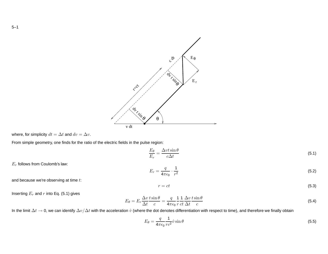

where, for simplicity  $dt = \Delta t$  and  $dv = \Delta v$ .

From simple geometry, one finds for the ratio of the electric fields in the pulse region:

$$
\frac{E_{\theta}}{E_r} = \frac{\Delta vt \sin \theta}{c \Delta t} \tag{5.1}
$$

 $E_r$  follows from Coulomb's law:

$$
E_r = \frac{q}{4\pi\epsilon_0} \cdot \frac{1}{r^2} \tag{5.2}
$$

and because we're observing at time  $t\mathrm{:}$ 

$$
r = ct \tag{5.3}
$$

Inserting  $E_r$  and  $r$  into Eq. (5.1) gives

$$
E_{\theta} = E_r \frac{\Delta v}{\Delta t} \frac{t \sin \theta}{c} = \frac{q}{4\pi\epsilon_0} \frac{1}{r} \frac{1}{ct} \frac{\Delta v}{\Delta t} \frac{t \sin \theta}{c}
$$
(5.4)

In the limit  $\Delta t\to$  0, we can identify  $\Delta v/\Delta t$  with the acceleration  $\dot{v}$  (where the dot denotes differentiation with respect to time), and therefore we finally obtain

$$
E_{\theta} = \frac{q}{4\pi\epsilon_0} \frac{1}{rc^2} \dot{v} \sin \theta \tag{5.5}
$$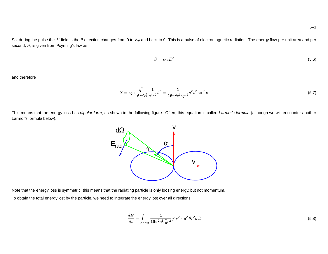So, during the pulse the  $E$ -field in the  $\theta$ -direction changes from 0 to  $E_\theta$  and back to 0. This is a pulse of electromagnetic radiation. The energy flow per unit area and per second,  $S$ , is given from Poynting's law as

$$
S = \epsilon_0 c E^2 \tag{5.6}
$$

and therefore

$$
S = \epsilon_0 c \frac{q^2}{16\pi^2 \epsilon_0^2} \frac{1}{c^4 r^2} \dot{v}^2 = \frac{1}{16\pi^2 c^3 \epsilon_0 r^2} q^2 \dot{v}^2 \sin^2 \theta \tag{5.7}
$$

This means that the energy loss has dipolar form, as shown in the following figure. Often, this equation is called Larmor's formula (although we will encounter another Larmor's formula below).



Note that the energy loss is symmetric, this means that the radiating particle is only loosing energy, but not momentum.

To obtain the total energy lost by the particle, we need to integrate the energy lost over all directions

$$
\frac{dE}{dt} = \int_{4\pi\mathrm{sr}} \frac{1}{16\pi^2 c^3 \epsilon_0^2 r^2} q^2 \dot{v}^2 \sin^2 \theta r^2 d\Omega \tag{5.8}
$$